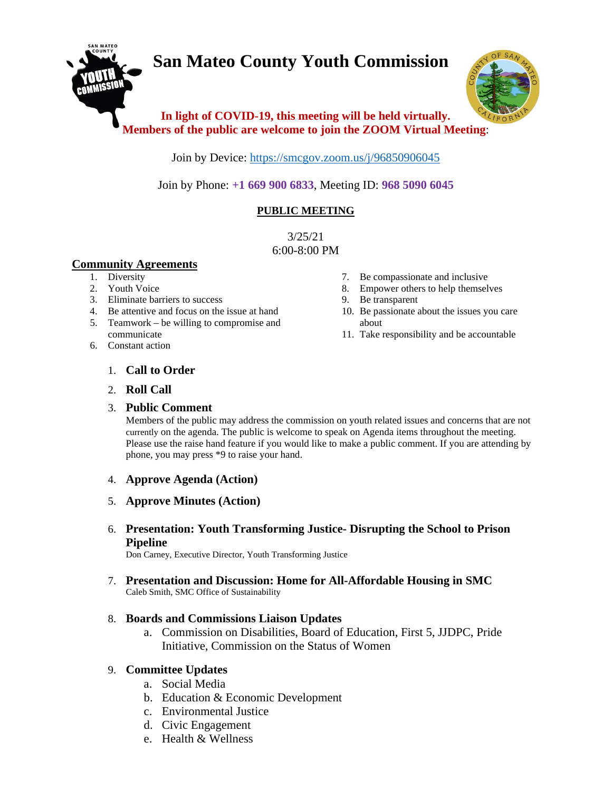# **San Mateo County Youth Commission**



# **In light of COVID-19, this meeting will be held virtually. Members of the public are welcome to join the ZOOM Virtual Meeting**:

Join by Device:<https://smcgov.zoom.us/j/96850906045>

Join by Phone: **+1 669 900 6833**, Meeting ID: **968 5090 6045**

# **PUBLIC MEETING**

3/25/21 6:00-8:00 PM

#### **Community Agreements**

- 1. Diversity
- 2. Youth Voice
- 3. Eliminate barriers to success
- 4. Be attentive and focus on the issue at hand
- 5. Teamwork be willing to compromise and communicate
- 6. Constant action
- 7. Be compassionate and inclusive
- 8. Empower others to help themselves
- 9. Be transparent
- 10. Be passionate about the issues you care about
- 11. Take responsibility and be accountable

- 1. **Call to Order**
- 2. **Roll Call**

#### 3. **Public Comment**

Members of the public may address the commission on youth related issues and concerns that are not currently on the agenda. The public is welcome to speak on Agenda items throughout the meeting. Please use the raise hand feature if you would like to make a public comment. If you are attending by phone, you may press \*9 to raise your hand.

- 4. **Approve Agenda (Action)**
- 5. **Approve Minutes (Action)**
- 6. **Presentation: Youth Transforming Justice- Disrupting the School to Prison Pipeline**

Don Carney, Executive Director, Youth Transforming Justice

7. **Presentation and Discussion: Home for All-Affordable Housing in SMC** Caleb Smith, SMC Office of Sustainability

## 8. **Boards and Commissions Liaison Updates**

a. Commission on Disabilities, Board of Education, First 5, JJDPC, Pride Initiative, Commission on the Status of Women

## 9. **Committee Updates**

- a. Social Media
- b. Education & Economic Development
- c. Environmental Justice
- d. Civic Engagement
- e. Health & Wellness